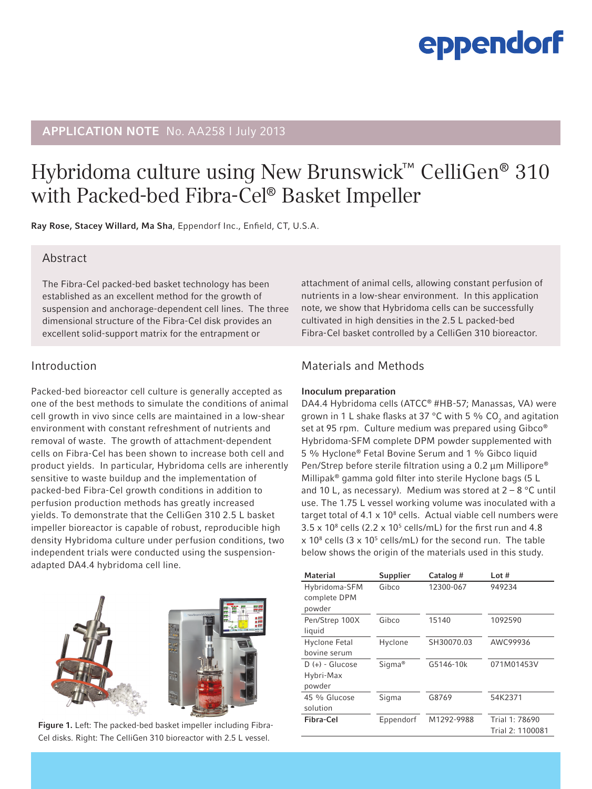# eppendorf

# **APPLICATION NOTE** No. AA258 I July 2013

# Hybridoma culture using New Brunswick™ CelliGen® 310 with Packed-bed Fibra-Cel® Basket Impeller

Ray Rose, Stacey Willard, Ma Sha, Eppendorf Inc., Enfield, CT, U.S.A.

## Abstract

The Fibra-Cel packed-bed basket technology has been established as an excellent method for the growth of suspension and anchorage-dependent cell lines. The three dimensional structure of the Fibra-Cel disk provides an excellent solid-support matrix for the entrapment or

## Introduction

Packed-bed bioreactor cell culture is generally accepted as one of the best methods to simulate the conditions of animal cell growth in vivo since cells are maintained in a low-shear environment with constant refreshment of nutrients and removal of waste. The growth of attachment-dependent cells on Fibra-Cel has been shown to increase both cell and product yields. In particular, Hybridoma cells are inherently sensitive to waste buildup and the implementation of packed-bed Fibra-Cel growth conditions in addition to perfusion production methods has greatly increased yields. To demonstrate that the CelliGen 310 2.5 L basket impeller bioreactor is capable of robust, reproducible high density Hybridoma culture under perfusion conditions, two independent trials were conducted using the suspensionadapted DA4.4 hybridoma cell line.





Figure 1. Left: The packed-bed basket impeller including Fibra-Cel disks. Right: The CelliGen 310 bioreactor with 2.5 L vessel.

attachment of animal cells, allowing constant perfusion of nutrients in a low-shear environment. In this application note, we show that Hybridoma cells can be successfully cultivated in high densities in the 2.5 L packed-bed Fibra-Cel basket controlled by a CelliGen 310 bioreactor.

# Materials and Methods

#### Inoculum preparation

DA4.4 Hybridoma cells (ATCC® #HB-57; Manassas, VA) were grown in 1 L shake flasks at 37 °C with 5 % CO<sub>2</sub> and agitation set at 95 rpm. Culture medium was prepared using Gibco<sup>®</sup> Hybridoma-SFM complete DPM powder supplemented with 5 % Hyclone® Fetal Bovine Serum and 1 % Gibco liquid Pen/Strep before sterile filtration using a 0.2 µm Millipore® Millipak® gamma gold filter into sterile Hyclone bags (5 L and 10 L, as necessary). Medium was stored at  $2 - 8$  °C until use. The 1.75 L vessel working volume was inoculated with a target total of  $4.1 \times 10^8$  cells. Actual viable cell numbers were  $3.5 \times 10^8$  cells (2.2  $\times$  10<sup>5</sup> cells/mL) for the first run and 4.8  $\times$  10<sup>8</sup> cells (3  $\times$  10<sup>5</sup> cells/mL) for the second run. The table below shows the origin of the materials used in this study.

| <b>Material</b>   | Supplier           | Catalog #  | Lot#             |
|-------------------|--------------------|------------|------------------|
| Hybridoma-SFM     | Gibco              | 12300-067  | 949234           |
| complete DPM      |                    |            |                  |
| powder            |                    |            |                  |
| Pen/Strep 100X    | Gibco              | 15140      | 1092590          |
| liquid            |                    |            |                  |
| Hyclone Fetal     | Hyclone            | SH30070.03 | AWC99936         |
| bovine serum      |                    |            |                  |
| $D (+) - Glucose$ | Sigma <sup>®</sup> | G5146-10k  | 071M01453V       |
| Hybri-Max         |                    |            |                  |
| powder            |                    |            |                  |
| 45 % Glucose      | Sigma              | G8769      | 54K2371          |
| solution          |                    |            |                  |
| Fibra-Cel         | Eppendorf          | M1292-9988 | Trial 1: 78690   |
|                   |                    |            | Trial 2: 1100081 |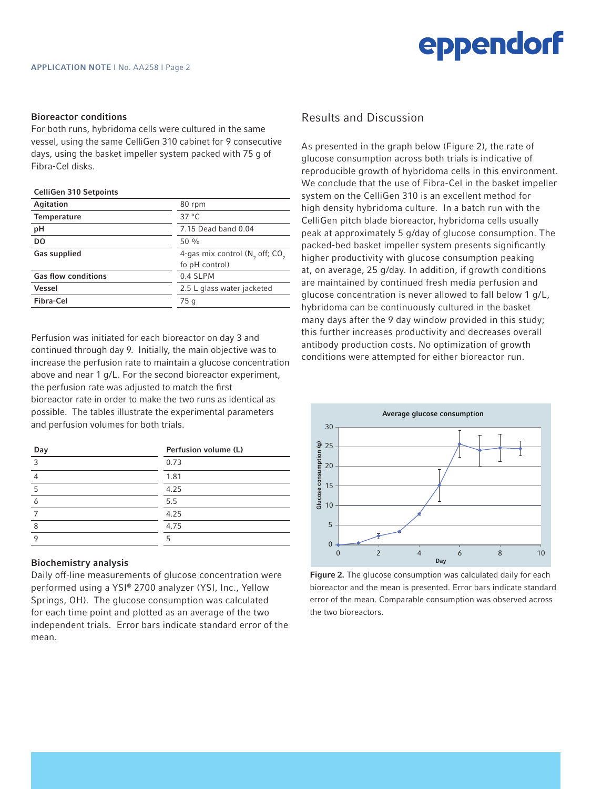

#### Bioreactor conditions

For both runs, hybridoma cells were cultured in the same vessel, using the same CelliGen 310 cabinet for 9 consecutive days, using the basket impeller system packed with 75 g of Fibra-Cel disks.

#### CelliGen 310 Setpoints

| Agitation                  | 80 rpm                              |  |
|----------------------------|-------------------------------------|--|
| <b>Temperature</b>         | $37^{\circ}$ C                      |  |
| рH                         | 7.15 Dead band 0.04                 |  |
| D <sub>0</sub>             | $50\%$                              |  |
| <b>Gas supplied</b>        | 4-gas mix control $(N_2$ off; $CO2$ |  |
|                            | fo pH control)                      |  |
| <b>Gas flow conditions</b> | 0.4 SLPM                            |  |
| <b>Vessel</b>              | 2.5 L glass water jacketed          |  |
| Fibra-Cel                  | 75 g                                |  |
|                            |                                     |  |

Perfusion was initiated for each bioreactor on day 3 and continued through day 9. Initially, the main objective was to increase the perfusion rate to maintain a glucose concentration above and near 1 g/L. For the second bioreactor experiment, the perfusion rate was adjusted to match the first bioreactor rate in order to make the two runs as identical as possible. The tables illustrate the experimental parameters and perfusion volumes for both trials.

| Day | Perfusion volume (L) |  |
|-----|----------------------|--|
| ₹   | 0.73                 |  |
|     | 1.81                 |  |
| 5   | 4.25                 |  |
|     | 5.5                  |  |
|     | 4.25                 |  |
| 8   | 4.75                 |  |
|     | ҕ                    |  |

#### Biochemistry analysis

Daily off-line measurements of glucose concentration were performed using a YSI® 2700 analyzer (YSI, Inc., Yellow Springs, OH). The glucose consumption was calculated for each time point and plotted as an average of the two independent trials. Error bars indicate standard error of the mean.

### Results and Discussion

As presented in the graph below (Figure 2), the rate of glucose consumption across both trials is indicative of reproducible growth of hybridoma cells in this environment. We conclude that the use of Fibra-Cel in the basket impeller system on the CelliGen 310 is an excellent method for high density hybridoma culture. In a batch run with the CelliGen pitch blade bioreactor, hybridoma cells usually peak at approximately 5 g/day of glucose consumption. The packed-bed basket impeller system presents significantly higher productivity with glucose consumption peaking at, on average, 25 g/day. In addition, if growth conditions are maintained by continued fresh media perfusion and glucose concentration is never allowed to fall below 1 g/L, hybridoma can be continuously cultured in the basket many days after the 9 day window provided in this study; this further increases productivity and decreases overall antibody production costs. No optimization of growth conditions were attempted for either bioreactor run.



Figure 2. The glucose consumption was calculated daily for each bioreactor and the mean is presented. Error bars indicate standard error of the mean. Comparable consumption was observed across the two bioreactors.